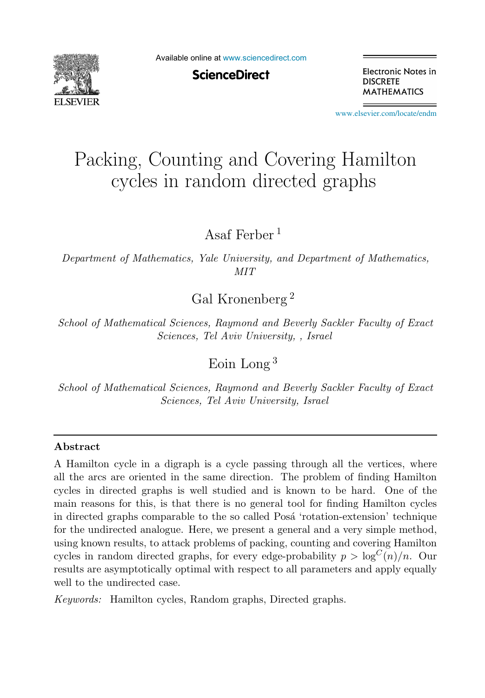

Available online at [www.sciencedirect.com](http://www.sciencedirect.com)

**ScienceDirect** 

Electronic Notes in **DISCRETE MATHEMATICS** 

[www.elsevier.com/locate/endm](http://www.elsevier.com/locate/endm)

# Packing, Counting and Covering Hamilton cycles in random directed graphs

Asaf Ferber <sup>1</sup>

*Department of Mathematics, Yale University, and Department of Mathematics, MIT*

Gal Kronenberg <sup>2</sup>

*School of Mathematical Sciences, Raymond and Beverly Sackler Faculty of Exact Sciences, Tel Aviv University, , Israel*

Eoin Long <sup>3</sup>

*School of Mathematical Sciences, Raymond and Beverly Sackler Faculty of Exact Sciences, Tel Aviv University, Israel*

#### Abstract

A Hamilton cycle in a digraph is a cycle passing through all the vertices, where all the arcs are oriented in the same direction. The problem of finding Hamilton cycles in directed graphs is well studied and is known to be hard. One of the main reasons for this, is that there is no general tool for finding Hamilton cycles in directed graphs comparable to the so called Posa 'rotation-extension' technique for the undirected analogue. Here, we present a general and a very simple method, using known results, to attack problems of packing, counting and covering Hamilton cycles in random directed graphs, for every edge-probability  $p > \log^C(n)/n$ . Our results are asymptotically optimal with respect to all parameters and apply equally well to the undirected case.

*Keywords:* Hamilton cycles, Random graphs, Directed graphs.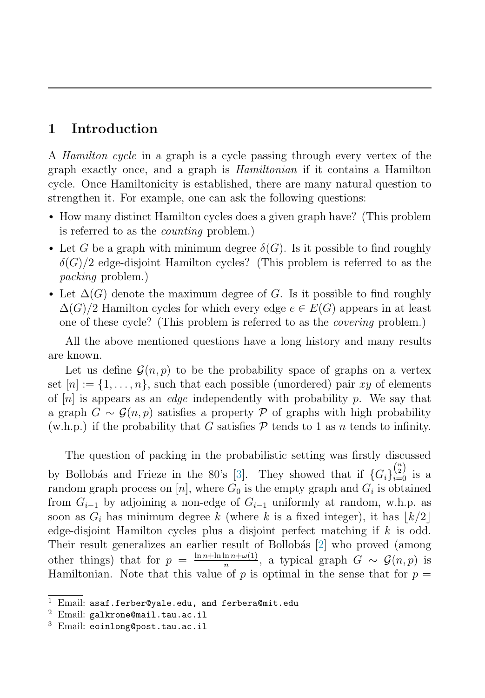# 1 Introduction

A Hamilton cycle in a graph is a cycle passing through every vertex of the graph exactly once, and a graph is Hamiltonian if it contains a Hamilton cycle. Once Hamiltonicity is established, there are many natural question to strengthen it. For example, one can ask the following questions:

- How many distinct Hamilton cycles does a given graph have? (This problem is referred to as the counting problem.)
- Let G be a graph with minimum degree  $\delta(G)$ . Is it possible to find roughly  $\delta(G)/2$  edge-disjoint Hamilton cycles? (This problem is referred to as the packing problem.)
- Let  $\Delta(G)$  denote the maximum degree of G. Is it possible to find roughly  $\Delta(G)/2$  Hamilton cycles for which every edge  $e \in E(G)$  appears in at least one of these cycle? (This problem is referred to as the covering problem.)

All the above mentioned questions have a long history and many results are known.

Let us define  $\mathcal{G}(n, p)$  to be the probability space of graphs on a vertex set  $[n] := \{1, \ldots, n\}$ , such that each possible (unordered) pair xy of elements of  $[n]$  is appears as an *edge* independently with probability p. We say that a graph  $G \sim \mathcal{G}(n, p)$  satisfies a property P of graphs with high probability (w.h.p.) if the probability that G satisfies  $P$  tends to 1 as n tends to infinity.

The question of packing in the probabilistic setting was firstly discussed by Bollobás and Frieze in the 80's [\[3\]](#page-5-0). They showed that if  ${G_i}_{i=0}^{\binom{n}{2}}$  is a random graph process on [n], where  $G_0$  is the empty graph and  $G_i$  is obtained from  $G_{i-1}$  by adjoining a non-edge of  $G_{i-1}$  uniformly at random, w.h.p. as soon as  $G_i$  has minimum degree k (where k is a fixed integer), it has  $\lfloor k/2 \rfloor$ edge-disjoint Hamilton cycles plus a disjoint perfect matching if k is odd. Their result generalizes an earlier result of Bollobás [\[2\]](#page-5-1) who proved (among other things) that for  $p = \frac{\ln n + \ln \ln n + \omega(1)}{n}$ , a typical graph  $G \sim \mathcal{G}(n, p)$  is Hamiltonian. Note that this value of  $p$  is optimal in the sense that for  $p =$ 

<sup>&</sup>lt;sup>1</sup> Email: asaf.ferber@yale.edu, and ferbera@mit.edu  $^2$  Email: galkrone@mail.tau.ac.il

<sup>3</sup> Email: eoinlong@post.tau.ac.il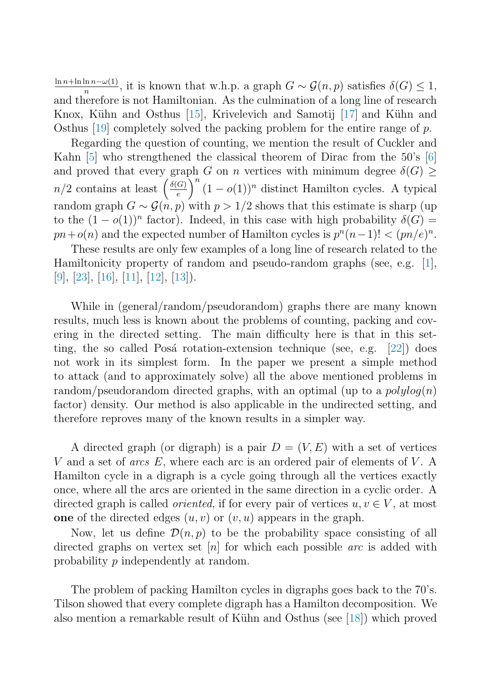$\frac{\ln n+\ln \ln n-\omega(1)}{n}$ , it is known that w.h.p. a graph  $G \sim \mathcal{G}(n, p)$  satisfies  $\delta(G) \leq 1$ , and therefore is not Hamiltonian. As the culmination of a long line of research Knox, Kühn and Osthus  $\left|15\right|$ , Krivelevich and Samotij  $\left|17\right|$  and Kühn and Osthus [\[19\]](#page-6-2) completely solved the packing problem for the entire range of  $p$ .

Regarding the question of counting, we mention the result of Cuckler and Kahn [\[5\]](#page-5-2) who strengthened the classical theorem of Dirac from the 50's [\[6\]](#page-5-3) and proved that every graph G on n vertices with minimum degree  $\delta(G)$   $\geq$  $n/2$  contains at least  $\left(\frac{\delta(G)}{e}\right)$  $\int_0^n (1 - o(1))^n$  distinct Hamilton cycles. A typical random graph  $G \sim \mathcal{G}(n, p)$  with  $p > 1/2$  shows that this estimate is sharp (up) to the  $(1-o(1))^n$  factor). Indeed, in this case with high probability  $\delta(G)$  =  $pn+o(n)$  and the expected number of Hamilton cycles is  $p^{n}(n-1)! < (pn/e)^{n}$ .

These results are only few examples of a long line of research related to the Hamiltonicity property of random and pseudo-random graphs (see, e.g. [\[1\]](#page-5-4), [\[9\]](#page-5-5), [\[23\]](#page-6-3), [\[16\]](#page-6-4), [\[11\]](#page-6-5), [\[12\]](#page-6-6), [\[13\]](#page-6-7)).

While in (general/random/pseudorandom) graphs there are many known results, much less is known about the problems of counting, packing and covering in the directed setting. The main difficulty here is that in this setting, the so called Posá rotation-extension technique (see, e.g.  $[22]$ ) does not work in its simplest form. In the paper we present a simple method to attack (and to approximately solve) all the above mentioned problems in random/pseudorandom directed graphs, with an optimal (up to a  $polylog(n)$ ) factor) density. Our method is also applicable in the undirected setting, and therefore reproves many of the known results in a simpler way.

A directed graph (or digraph) is a pair  $D = (V, E)$  with a set of vertices V and a set of *arcs*  $E$ , where each arc is an ordered pair of elements of  $V$ . A Hamilton cycle in a digraph is a cycle going through all the vertices exactly once, where all the arcs are oriented in the same direction in a cyclic order. A directed graph is called *oriented*, if for every pair of vertices  $u, v \in V$ , at most one of the directed edges  $(u, v)$  or  $(v, u)$  appears in the graph.

Now, let us define  $\mathcal{D}(n, p)$  to be the probability space consisting of all directed graphs on vertex set  $[n]$  for which each possible *arc* is added with probability p independently at random.

The problem of packing Hamilton cycles in digraphs goes back to the 70's. Tilson showed that every complete digraph has a Hamilton decomposition. We also mention a remarkable result of Kühn and Osthus (see  $[18]$ ) which proved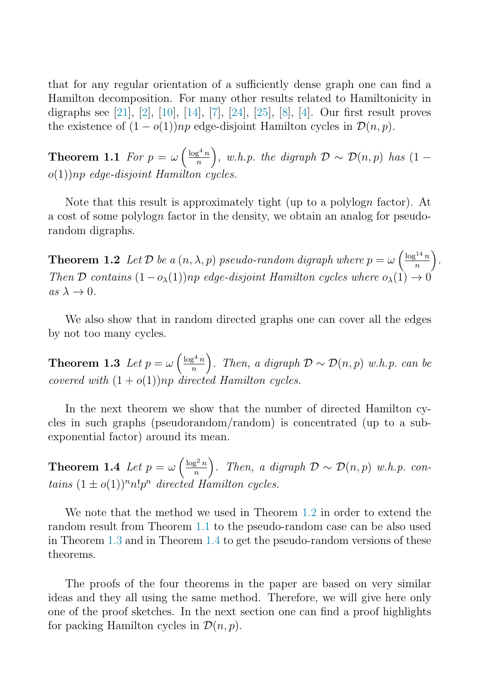<span id="page-3-1"></span>that for any regular orientation of a sufficiently dense graph one can find a Hamilton decomposition. For many other results related to Hamiltonicity in digraphs see [\[21\]](#page-6-10), [\[2\]](#page-5-1), [\[10\]](#page-6-11), [\[14\]](#page-6-12), [\[7\]](#page-5-6), [\[24\]](#page-6-13), [\[25\]](#page-6-14), [\[8\]](#page-5-7), [\[4\]](#page-5-8). Our first result proves the existence of  $(1 - o(1))np$  edge-disjoint Hamilton cycles in  $\mathcal{D}(n, p)$ .

**Theorem 1.1** For  $p = \omega \left(\frac{\log^4 n}{n}\right)$ n ), w.h.p. the digraph  $\mathcal{D} \sim \mathcal{D}(n, p)$  has  $(1$  $o(1)$ )np edge-disjoint Hamilton cycles.

<span id="page-3-0"></span>Note that this result is approximately tight (up to a polylogn factor). At a cost of some polylogn factor in the density, we obtain an analog for pseudorandom digraphs.

**Theorem 1.2** Let D be a  $(n, \lambda, p)$  pseudo-random digraph where  $p = \omega \left(\frac{\log^{14} n}{n}\right)$ n . Then D contains  $(1-o_{\lambda}(1))$ np edge-disjoint Hamilton cycles where  $o_{\lambda}(1) \rightarrow 0$  $as \lambda \rightarrow 0.$ 

<span id="page-3-2"></span>We also show that in random directed graphs one can cover all the edges by not too many cycles.

**Theorem 1.3** Let  $p = \omega \left(\frac{\log^4 n}{n}\right)$ n ). Then, a digraph  $\mathcal{D} \sim \mathcal{D}(n, p)$  w.h.p. can be covered with  $(1+o(1))np$  directed Hamilton cycles.

<span id="page-3-3"></span>In the next theorem we show that the number of directed Hamilton cycles in such graphs (pseudorandom/random) is concentrated (up to a subexponential factor) around its mean.

**Theorem 1.4** Let  $p = \omega \left( \frac{\log^2 n}{n} \right)$ n ). Then, a digraph  $\mathcal{D} \sim \mathcal{D}(n, p)$  w.h.p. contains  $(1 \pm o(1))^{n} n! p^{n}$  directed Hamilton cycles.

We note that the method we used in Theorem [1.2](#page-3-0) in order to extend the random result from Theorem [1.1](#page-3-1) to the pseudo-random case can be also used in Theorem [1.3](#page-3-2) and in Theorem [1.4](#page-3-3) to get the pseudo-random versions of these theorems.

The proofs of the four theorems in the paper are based on very similar ideas and they all using the same method. Therefore, we will give here only one of the proof sketches. In the next section one can find a proof highlights for packing Hamilton cycles in  $\mathcal{D}(n, p)$ .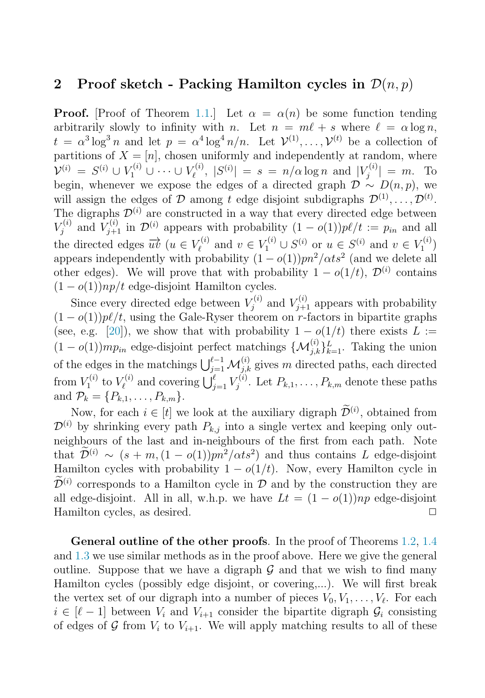## 2 Proof sketch - Packing Hamilton cycles in  $\mathcal{D}(n, p)$

**Proof.** [Proof of Theorem [1.1.](#page-3-1)] Let  $\alpha = \alpha(n)$  be some function tending arbitrarily slowly to infinity with n. Let  $n = m\ell + s$  where  $\ell = \alpha \log n$ .  $t = \alpha^3 \log^3 n$  and let  $p = \alpha^4 \log^4 n/n$ . Let  $\mathcal{V}^{(1)}, \ldots, \mathcal{V}^{(t)}$  be a collection of partitions of  $X = [n]$ , chosen uniformly and independently at random, where  $\mathcal{V}^{(i)} = S^{(i)} \cup V_1^{(i)} \cup \cdots \cup V_\ell^{(i)}, |S^{(i)}| = s = n/\alpha \log n$  and  $|V_j^{(i)}| = m$ . To begin, whenever we expose the edges of a directed graph  $\mathcal{D} \sim D(n, p)$ , we will assign the edges of D among t edge disjoint subdigraphs  $\mathcal{D}^{(1)}, \ldots, \mathcal{D}^{(t)}$ . The digraphs  $\mathcal{D}^{(i)}$  are constructed in a way that every directed edge between  $V_j^{(i)}$  and  $V_{j+1}^{(i)}$  in  $\mathcal{D}^{(i)}$  appears with probability  $(1 - o(1))p\ell/t := p_{in}$  and all the directed edges  $\overrightarrow{uv}$   $(u \in V_{\ell}^{(i)} \text{ and } v \in V_1^{(i)} \cup S^{(i)} \text{ or } u \in S^{(i)} \text{ and } v \in V_1^{(i)}$ appears independently with probability  $(1 - o(1))pn^2/dts^2$  (and we delete all other edges). We will prove that with probability  $1 - o(1/t)$ ,  $\mathcal{D}^{(i)}$  contains  $(1 - o(1))np/t$  edge-disjoint Hamilton cycles.

Since every directed edge between  $V_j^{(i)}$  and  $V_{j+1}^{(i)}$  appears with probability  $(1 - o(1))p\ell/t$ , using the Gale-Ryser theorem on r-factors in bipartite graphs (see, e.g. [\[20\]](#page-6-15)), we show that with probability  $1 - o(1/t)$  there exists  $L :=$  $(1 - o(1))mp_{in}$  edge-disjoint perfect matchings  $\{\mathcal{M}_{j,k}^{(i)}\}_{k=1}^L$ . Taking the union of the edges in the matchings  $\bigcup_{j=1}^{\ell-1} \mathcal{M}_{j,k}^{(i)}$  gives m directed paths, each directed from  $V_1^{(i)}$  to  $V_{\ell}^{(i)}$  and covering  $\bigcup_{j=1}^{\ell} V_j^{(i)}$ . Let  $P_{k,1}, \ldots, P_{k,m}$  denote these paths and  $\mathcal{P}_k = \{P_{k,1}, \ldots, P_{k,m}\}.$ 

Now, for each  $i \in [t]$  we look at the auxiliary digraph  $\mathcal{D}^{(i)}$ , obtained from  $\mathcal{D}^{(i)}$  by shrinking every path  $P_{k,i}$  into a single vertex and keeping only outneighbours of the last and in-neighbours of the first from each path. Note that  $\tilde{\mathcal{D}}^{(i)} \sim (s+m,(1-o(1))pn^2/dts^2)$  and thus contains L edge-disjoint Hamilton cycles with probability  $1 - o(1/t)$ . Now, every Hamilton cycle in  $\widetilde{\mathcal{D}}^{(i)}$  corresponds to a Hamilton cycle in  $\mathcal{D}$  and by the construction they are all edge-disjoint. All in all, w.h.p. we have  $Lt = (1 - o(1))np$  edge-disjoint Hamilton cycles, as desired.  $\Box$ 

General outline of the other proofs. In the proof of Theorems [1.2,](#page-3-0) [1.4](#page-3-3) and [1.3](#page-3-2) we use similar methods as in the proof above. Here we give the general outline. Suppose that we have a digraph  $\mathcal G$  and that we wish to find many Hamilton cycles (possibly edge disjoint, or covering,...). We will first break the vertex set of our digraph into a number of pieces  $V_0, V_1, \ldots, V_\ell$ . For each  $i \in [\ell-1]$  between  $V_i$  and  $V_{i+1}$  consider the bipartite digraph  $\mathcal{G}_i$  consisting of edges of G from  $V_i$  to  $V_{i+1}$ . We will apply matching results to all of these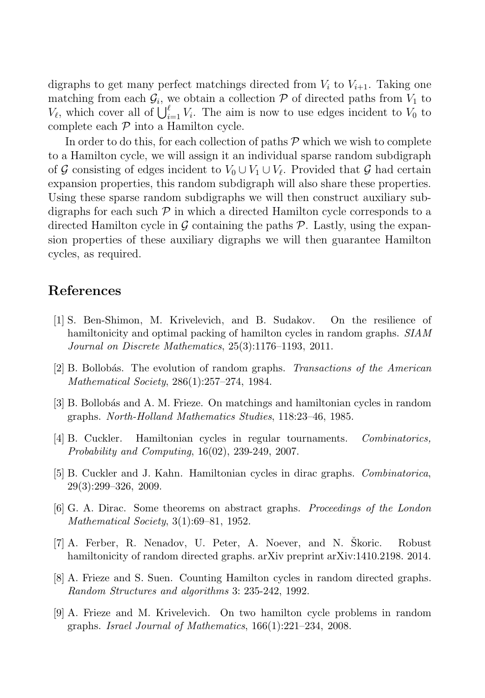digraphs to get many perfect matchings directed from  $V_i$  to  $V_{i+1}$ . Taking one matching from each  $\mathcal{G}_i$ , we obtain a collection  $\mathcal P$  of directed paths from  $V_1$  to  $V_{\ell}$ , which cover all of  $\bigcup_{i=1}^{\ell} V_i$ . The aim is now to use edges incident to  $V_0$  to complete each  $P$  into a Hamilton cycle.

In order to do this, for each collection of paths  $P$  which we wish to complete to a Hamilton cycle, we will assign it an individual sparse random subdigraph of G consisting of edges incident to  $V_0 \cup V_1 \cup V_\ell$ . Provided that G had certain expansion properties, this random subdigraph will also share these properties. Using these sparse random subdigraphs we will then construct auxiliary subdigraphs for each such  $\mathcal P$  in which a directed Hamilton cycle corresponds to a directed Hamilton cycle in  $\mathcal G$  containing the paths  $\mathcal P$ . Lastly, using the expansion properties of these auxiliary digraphs we will then guarantee Hamilton cycles, as required.

### <span id="page-5-4"></span>References

- <span id="page-5-1"></span><span id="page-5-0"></span>[1] S. Ben-Shimon, M. Krivelevich, and B. Sudakov. On the resilience of hamiltonicity and optimal packing of hamilton cycles in random graphs. *SIAM Journal on Discrete Mathematics*, 25(3):1176–1193, 2011.
- <span id="page-5-8"></span>[2] B. Bollob´as. The evolution of random graphs. *Transactions of the American Mathematical Society*, 286(1):257–274, 1984.
- <span id="page-5-2"></span>[3] B. Bollob´as and A. M. Frieze. On matchings and hamiltonian cycles in random graphs. *North-Holland Mathematics Studies*, 118:23–46, 1985.
- <span id="page-5-3"></span>[4] B. Cuckler. Hamiltonian cycles in regular tournaments. *Combinatorics, Probability and Computing*, 16(02), 239-249, 2007.
- <span id="page-5-6"></span>[5] B. Cuckler and J. Kahn. Hamiltonian cycles in dirac graphs. *Combinatorica*, 29(3):299–326, 2009.
- <span id="page-5-7"></span>[6] G. A. Dirac. Some theorems on abstract graphs. *Proceedings of the London Mathematical Society*, 3(1):69–81, 1952.
- <span id="page-5-5"></span>[7] A. Ferber, R. Nenadov, U. Peter, A. Noever, and N. Skoric. Robust hamiltonicity of random directed graphs. arXiv preprint arXiv:1410.2198. 2014.
- [8] A. Frieze and S. Suen. Counting Hamilton cycles in random directed graphs. *Random Structures and algorithms* 3: 235-242, 1992.
- [9] A. Frieze and M. Krivelevich. On two hamilton cycle problems in random graphs. *Israel Journal of Mathematics*, 166(1):221–234, 2008.